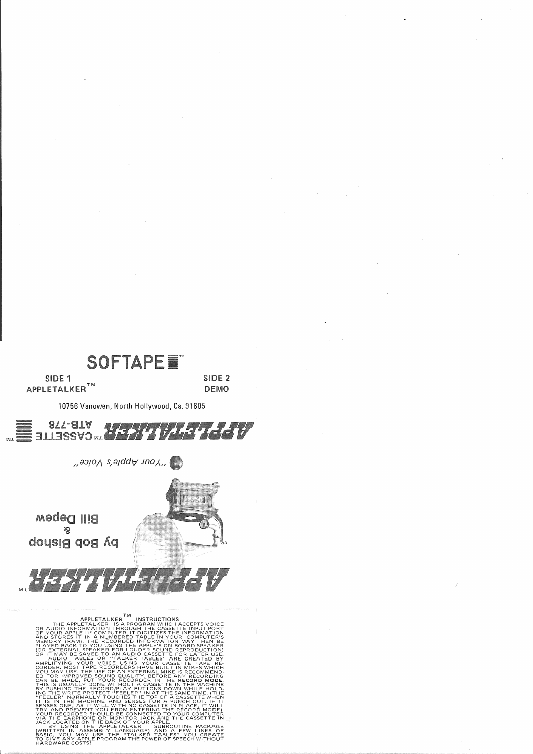

SIDE 1 APPLETALKER<sup>TM</sup> SIDE<sub>2</sub> **DEMO** 



10756 Vanowen, North Hollywood, Ca. 91605

 $S$  -  $\mathcal{S}$  and  $A$  and  $\mathcal{S}$  and  $\mathcal{S}$ 

**Bill Depew i**S by Bob Bishop

WJ.

APPLETALKER TM INSTRUCTIONS<br>
OR AUDIO INFORMATION THROUGHAM WHICH ACCEPTS VOICE<br>
OR YOUR APPLETALKER IS A PROGRAM WHICH ACCEPTS THE INPUT PORT<br>
AND STORES IT IN A NUMBERED TABLE IN YOUR COMPUTER'S<br>
MEMORY (RAM). THE RECORD THIS IS USUALLY DONE WITHOUT <sup>A</sup> CASSETTE IN THE MACHINE BY PUSHING THE RECORD/PLAY BUTTONS DOWN WHILE HOLD-ING THE WRITE PROTECT "FEELER" IN AT THE SAME TIME. (THE<br>"FEELER" NORMALLY TOUCHES THE TOP OF A CASSETTE WHEN<br>IT IS IN THE MACHINE AND SENSES FOR A PUNCH OUT. IF IT SENSES ONE, AS IT WILL WITH NO CASSETTE IN PLACE, IT WILL<br>TRY AND PREVENT YOU FROM ENTERING THE RECORD MODE).<br>YOUR RECORDER SHOULD BE CONNECTED TO YOUR COMPUTER<br>VIA THE EARPHONE OR MONITOR JACK AND THE CASSETTE IN<br>JACK LOC I'VE LIEE WRITE PROTECT "FEELER" IN AT THE SAME TIME, IT IS IN THE MACHINE AND SENSES FOR A PUNCH OUT, IF IT<br>SENSES ONE, AS IT WILL WITH NO CASSETTE IN FLACE, IT WILL<br>TRY AND PREVENT YOU DROM ENTERING THE RECORD MODE);<br>YOU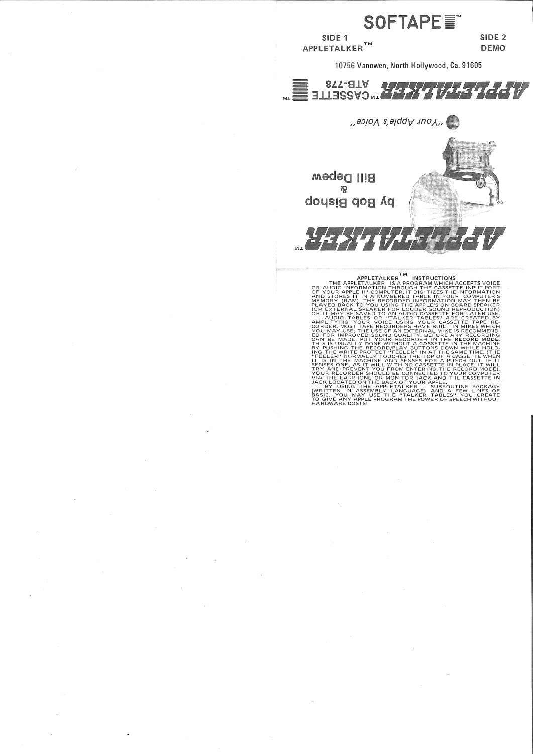

YOUR RECORDER SHOULD BE CONNECTED TO YOUR COMPUTER<br>VIA THE EARPHONE OR MONITOR JACK AND THE CASSETTE IN<br>JACK LOCATED ON THE BACK OF YOUR APPLE.<br>ACK LOCATED ON THE APPLETALKER<br>(WRITTEN IN ASSEMBLY LANGUAGE) AND A FEW LINES BASIC, YOU MAY USE THE "TALKER TABLES" YOU CREATE<br>TO GIVE ANY APPLE PROGRAM THE POWER OF SPEECH WITHOUT<br>HARDWARE COSTS!